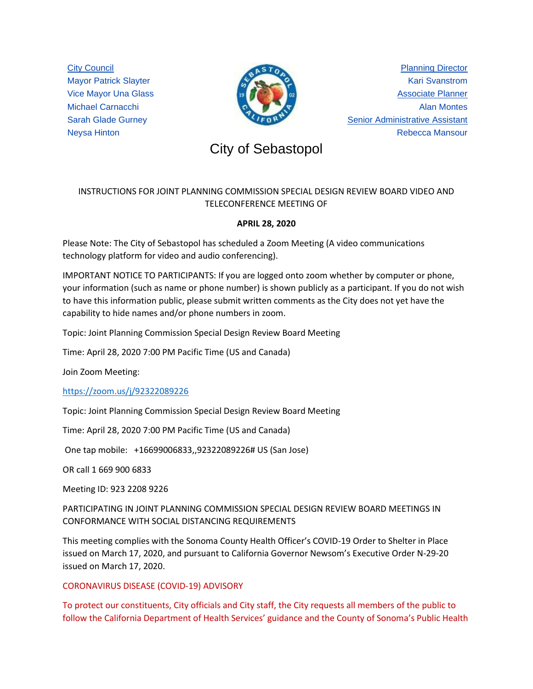City Council Mayor Patrick Slayter Vice Mayor Una Glass Michael Carnacchi Sarah Glade Gurney Neysa Hinton



Planning Director Kari Svanstrom Associate Planner Alan Montes Senior Administrative Assistant Rebecca Mansour

# City of Sebastopol City of Sebastopol

# INSTRUCTIONS FOR JOINT PLANNING COMMISSION SPECIAL DESIGN REVIEW BOARD VIDEO AND TELECONFERENCE MEETING OF

## **APRIL 28, 2020**

Please Note: The City of Sebastopol has scheduled a Zoom Meeting (A video communications technology platform for video and audio conferencing).

IMPORTANT NOTICE TO PARTICIPANTS: If you are logged onto zoom whether by computer or phone, your information (such as name or phone number) is shown publicly as a participant. If you do not wish to have this information public, please submit written comments as the City does not yet have the capability to hide names and/or phone numbers in zoom.

Topic: Joint Planning Commission Special Design Review Board Meeting

Time: April 28, 2020 7:00 PM Pacific Time (US and Canada)

Join Zoom Meeting:

<https://zoom.us/j/92322089226>

Topic: Joint Planning Commission Special Design Review Board Meeting

Time: April 28, 2020 7:00 PM Pacific Time (US and Canada)

One tap mobile: +16699006833,,92322089226# US (San Jose)

OR call 1 669 900 6833

Meeting ID: 923 2208 9226

PARTICIPATING IN JOINT PLANNING COMMISSION SPECIAL DESIGN REVIEW BOARD MEETINGS IN CONFORMANCE WITH SOCIAL DISTANCING REQUIREMENTS

This meeting complies with the Sonoma County Health Officer's COVID-19 Order to Shelter in Place issued on March 17, 2020, and pursuant to California Governor Newsom's Executive Order N-29-20 issued on March 17, 2020.

### CORONAVIRUS DISEASE (COVID-19) ADVISORY

To protect our constituents, City officials and City staff, the City requests all members of the public to follow the California Department of Health Services' guidance and the County of Sonoma's Public Health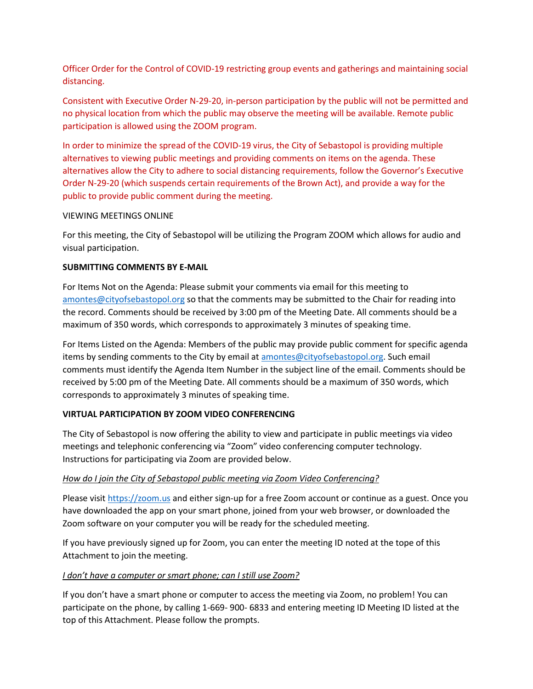Officer Order for the Control of COVID-19 restricting group events and gatherings and maintaining social distancing.

Consistent with Executive Order N-29-20, in-person participation by the public will not be permitted and no physical location from which the public may observe the meeting will be available. Remote public participation is allowed using the ZOOM program.

In order to minimize the spread of the COVID-19 virus, the City of Sebastopol is providing multiple alternatives to viewing public meetings and providing comments on items on the agenda. These alternatives allow the City to adhere to social distancing requirements, follow the Governor's Executive Order N-29-20 (which suspends certain requirements of the Brown Act), and provide a way for the public to provide public comment during the meeting.

#### VIEWING MEETINGS ONLINE

For this meeting, the City of Sebastopol will be utilizing the Program ZOOM which allows for audio and visual participation.

#### **SUBMITTING COMMENTS BY E-MAIL**

For Items Not on the Agenda: Please submit your comments via email for this meeting to [amontes@cityofsebastopol.org](mailto:amontes@cityofsebastopol.org) so that the comments may be submitted to the Chair for reading into the record. Comments should be received by 3:00 pm of the Meeting Date. All comments should be a maximum of 350 words, which corresponds to approximately 3 minutes of speaking time.

For Items Listed on the Agenda: Members of the public may provide public comment for specific agenda items by sending comments to the City by email at [amontes@cityofsebastopol.org.](mailto:amontes@cityofsebastopol.org) Such email comments must identify the Agenda Item Number in the subject line of the email. Comments should be received by 5:00 pm of the Meeting Date. All comments should be a maximum of 350 words, which corresponds to approximately 3 minutes of speaking time.

#### **VIRTUAL PARTICIPATION BY ZOOM VIDEO CONFERENCING**

The City of Sebastopol is now offering the ability to view and participate in public meetings via video meetings and telephonic conferencing via "Zoom" video conferencing computer technology. Instructions for participating via Zoom are provided below.

#### *How do I join the City of Sebastopol public meeting via Zoom Video Conferencing?*

Please visi[t https://zoom.us](https://zoom.us/) and either sign-up for a free Zoom account or continue as a guest. Once you have downloaded the app on your smart phone, joined from your web browser, or downloaded the Zoom software on your computer you will be ready for the scheduled meeting.

If you have previously signed up for Zoom, you can enter the meeting ID noted at the tope of this Attachment to join the meeting.

#### *I don't have a computer or smart phone; can I still use Zoom?*

If you don't have a smart phone or computer to access the meeting via Zoom, no problem! You can participate on the phone, by calling 1-669- 900- 6833 and entering meeting ID Meeting ID listed at the top of this Attachment. Please follow the prompts.